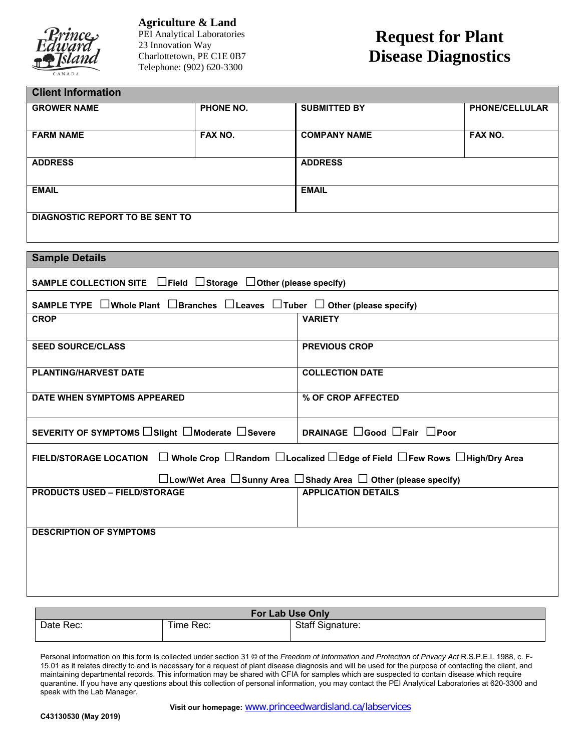

**Agriculture & Land**  PEI Analytical Laboratories 23 Innovation Way Charlottetown, PE C1E 0B7 Telephone: (902) 620-3300

## **Request for Plant Disease Diagnostics**

| <b>Client Information</b>              |           |                     |                       |  |
|----------------------------------------|-----------|---------------------|-----------------------|--|
| <b>GROWER NAME</b>                     | PHONE NO. | <b>SUBMITTED BY</b> | <b>PHONE/CELLULAR</b> |  |
| <b>FARM NAME</b>                       | FAX NO.   | <b>COMPANY NAME</b> | FAX NO.               |  |
| <b>ADDRESS</b>                         |           | <b>ADDRESS</b>      |                       |  |
| <b>EMAIL</b>                           |           | <b>EMAIL</b>        |                       |  |
| <b>DIAGNOSTIC REPORT TO BE SENT TO</b> |           |                     |                       |  |

| <b>Sample Details</b>                                                                                   |                            |  |  |  |  |
|---------------------------------------------------------------------------------------------------------|----------------------------|--|--|--|--|
| SAMPLE COLLECTION SITE $\Box$ Field $\Box$ Storage $\Box$ Other (please specify)                        |                            |  |  |  |  |
| SAMPLE TYPE $\Box$ Whole Plant $\Box$ Branches $\Box$ Leaves $\Box$ Tuber $\Box$ Other (please specify) |                            |  |  |  |  |
| <b>CROP</b>                                                                                             | <b>VARIETY</b>             |  |  |  |  |
| <b>SEED SOURCE/CLASS</b>                                                                                | <b>PREVIOUS CROP</b>       |  |  |  |  |
| <b>PLANTING/HARVEST DATE</b>                                                                            | <b>COLLECTION DATE</b>     |  |  |  |  |
| DATE WHEN SYMPTOMS APPEARED                                                                             | % OF CROP AFFECTED         |  |  |  |  |
| SEVERITY OF SYMPTOMS □ Slight □ Moderate □ Severe                                                       | DRAINAGE □Good □Fair □Poor |  |  |  |  |
| FIELD/STORAGE LOCATION □ Whole Crop □ Random □ Localized □ Edge of Field □ Few Rows □ High/Dry Area     |                            |  |  |  |  |
| $\Box$ Low/Wet Area $\Box$ Sunny Area $\Box$ Shady Area $\Box$ Other (please specify)                   |                            |  |  |  |  |
| <b>PRODUCTS USED - FIELD/STORAGE</b>                                                                    | <b>APPLICATION DETAILS</b> |  |  |  |  |
|                                                                                                         |                            |  |  |  |  |
| <b>DESCRIPTION OF SYMPTOMS</b>                                                                          |                            |  |  |  |  |
|                                                                                                         |                            |  |  |  |  |
|                                                                                                         |                            |  |  |  |  |
|                                                                                                         |                            |  |  |  |  |

| <b>For Lab Use Only</b> |           |                         |  |  |  |  |
|-------------------------|-----------|-------------------------|--|--|--|--|
| Date Rec:               | Time Rec: | <b>Staff Signature:</b> |  |  |  |  |
|                         |           |                         |  |  |  |  |

Personal information on this form is collected under section 31 © of the *Freedom of Information and Protection of Privacy Act* R.S.P.E.I. 1988, c. F-15.01 as it relates directly to and is necessary for a request of plant disease diagnosis and will be used for the purpose of contacting the client, and maintaining departmental records. This information may be shared with CFIA for samples which are suspected to contain disease which require quarantine. If you have any questions about this collection of personal information, you may contact the PEI Analytical Laboratories at 620-3300 and speak with the Lab Manager.